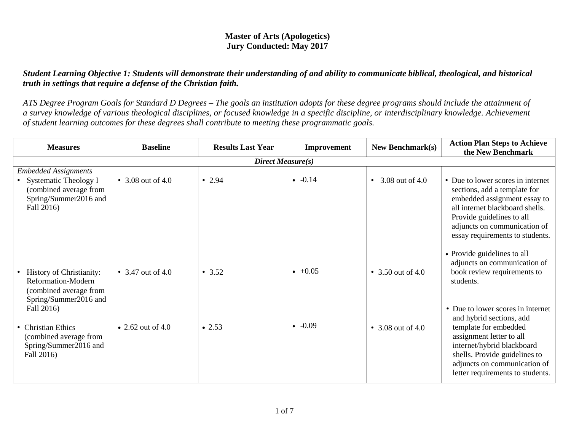## **Master of Arts (Apologetics) Jury Conducted: May 2017**

## *Student Learning Objective 1: Students will demonstrate their understanding of and ability to communicate biblical, theological, and historical truth in settings that require a defense of the Christian faith.*

*ATS Degree Program Goals for Standard D Degrees – The goals an institution adopts for these degree programs should include the attainment of a survey knowledge of various theological disciplines, or focused knowledge in a specific discipline, or interdisciplinary knowledge. Achievement of student learning outcomes for these degrees shall contribute to meeting these programmatic goals.*

| <b>Measures</b>                                                                                          | <b>Baseline</b>   | <b>Results Last Year</b> | Improvement     | <b>New Benchmark(s)</b>      | <b>Action Plan Steps to Achieve</b><br>the New Benchmark                                                                                                                                                                                              |  |  |
|----------------------------------------------------------------------------------------------------------|-------------------|--------------------------|-----------------|------------------------------|-------------------------------------------------------------------------------------------------------------------------------------------------------------------------------------------------------------------------------------------------------|--|--|
| Direct Measure(s)                                                                                        |                   |                          |                 |                              |                                                                                                                                                                                                                                                       |  |  |
| <b>Embedded Assignments</b><br>Systematic Theology I<br>(combined average from<br>Spring/Summer2016 and  | • 3.08 out of 4.0 | • 2.94                   | $\bullet$ -0.14 | 3.08 out of 4.0<br>$\bullet$ | • Due to lower scores in internet<br>sections, add a template for<br>embedded assignment essay to                                                                                                                                                     |  |  |
| Fall 2016)                                                                                               |                   |                          |                 |                              | all internet blackboard shells.<br>Provide guidelines to all<br>adjuncts on communication of<br>essay requirements to students.                                                                                                                       |  |  |
| <b>History of Christianity:</b><br>Reformation-Modern<br>(combined average from<br>Spring/Summer2016 and | • 3.47 out of 4.0 | • 3.52                   | $+0.05$         | • 3.50 out of 4.0            | • Provide guidelines to all<br>adjuncts on communication of<br>book review requirements to<br>students.                                                                                                                                               |  |  |
| Fall 2016)<br>• Christian Ethics<br>(combined average from<br>Spring/Summer2016 and<br>Fall 2016)        | • 2.62 out of 4.0 | $\bullet$ 2.53           | $-0.09$         | • 3.08 out of 4.0            | • Due to lower scores in internet<br>and hybrid sections, add<br>template for embedded<br>assignment letter to all<br>internet/hybrid blackboard<br>shells. Provide guidelines to<br>adjuncts on communication of<br>letter requirements to students. |  |  |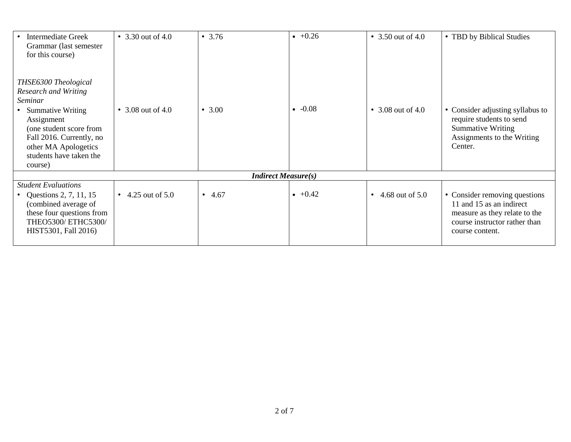| <b>Intermediate Greek</b><br>Grammar (last semester<br>for this course)                                                                                     | • 3.30 out of 4.0   | • 3.76                     | $+0.26$ | • 3.50 out of 4.0            | • TBD by Biblical Studies                                                                                                                      |
|-------------------------------------------------------------------------------------------------------------------------------------------------------------|---------------------|----------------------------|---------|------------------------------|------------------------------------------------------------------------------------------------------------------------------------------------|
| THSE6300 Theological<br>Research and Writing                                                                                                                |                     |                            |         |                              |                                                                                                                                                |
| Seminar                                                                                                                                                     |                     |                            |         |                              |                                                                                                                                                |
| <b>Summative Writing</b><br>Assignment<br>(one student score from<br>Fall 2016. Currently, no<br>other MA Apologetics<br>students have taken the<br>course) | • 3.08 out of 4.0   | • $3.00$                   | $-0.08$ | • 3.08 out of 4.0            | • Consider adjusting syllabus to<br>require students to send<br><b>Summative Writing</b><br>Assignments to the Writing<br>Center.              |
|                                                                                                                                                             |                     | <b>Indirect Measure(s)</b> |         |                              |                                                                                                                                                |
| <b>Student Evaluations</b>                                                                                                                                  |                     |                            |         |                              |                                                                                                                                                |
| Questions 2, 7, 11, 15<br>(combined average of<br>these four questions from<br>THEO5300/ ETHC5300/<br>HIST5301, Fall 2016)                                  | • 4.25 out of $5.0$ | $\bullet$ 4.67             | $+0.42$ | 4.68 out of 5.0<br>$\bullet$ | • Consider removing questions<br>11 and 15 as an indirect<br>measure as they relate to the<br>course instructor rather than<br>course content. |
|                                                                                                                                                             |                     |                            |         |                              |                                                                                                                                                |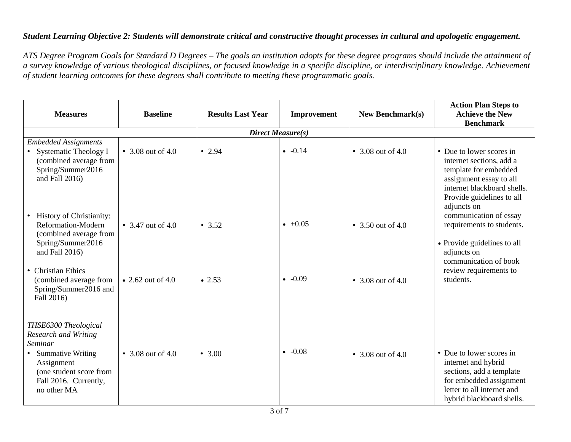## *Student Learning Objective 2: Students will demonstrate critical and constructive thought processes in cultural and apologetic engagement.*

*ATS Degree Program Goals for Standard D Degrees – The goals an institution adopts for these degree programs should include the attainment of a survey knowledge of various theological disciplines, or focused knowledge in a specific discipline, or interdisciplinary knowledge. Achievement of student learning outcomes for these degrees shall contribute to meeting these programmatic goals.*

| <b>Measures</b>                                                                                                                                     | <b>Baseline</b>   | <b>Results Last Year</b> | Improvement          | <b>New Benchmark(s)</b> | <b>Action Plan Steps to</b><br><b>Achieve the New</b><br><b>Benchmark</b>                                                                                            |
|-----------------------------------------------------------------------------------------------------------------------------------------------------|-------------------|--------------------------|----------------------|-------------------------|----------------------------------------------------------------------------------------------------------------------------------------------------------------------|
|                                                                                                                                                     |                   |                          | Direct Measure(s)    |                         |                                                                                                                                                                      |
| <b>Embedded Assignments</b><br><b>Systematic Theology I</b><br>(combined average from<br>Spring/Summer2016<br>and Fall 2016)                        | • 3.08 out of 4.0 | • 2.94                   | $-0.14$              | • 3.08 out of 4.0       | • Due to lower scores in<br>internet sections, add a<br>template for embedded<br>assignment essay to all<br>internet blackboard shells.<br>Provide guidelines to all |
| <b>History of Christianity:</b><br>Reformation-Modern<br>(combined average from<br>Spring/Summer2016<br>and Fall 2016)<br>• Christian Ethics        | • 3.47 out of 4.0 | • 3.52                   | $+0.05$              | • 3.50 out of 4.0       | adjuncts on<br>communication of essay<br>requirements to students.<br>• Provide guidelines to all<br>adjuncts on<br>communication of book<br>review requirements to  |
| (combined average from<br>Spring/Summer2016 and<br>Fall 2016)<br>THSE6300 Theological                                                               | • 2.62 out of 4.0 | $\bullet$ 2.53           | $-0.09$<br>$\bullet$ | • 3.08 out of 4.0       | students.                                                                                                                                                            |
| <b>Research and Writing</b><br>Seminar<br><b>Summative Writing</b><br>Assignment<br>(one student score from<br>Fall 2016. Currently,<br>no other MA | • 3.08 out of 4.0 | • $3.00$                 | $-0.08$<br>$\bullet$ | • 3.08 out of 4.0       | • Due to lower scores in<br>internet and hybrid<br>sections, add a template<br>for embedded assignment<br>letter to all internet and<br>hybrid blackboard shells.    |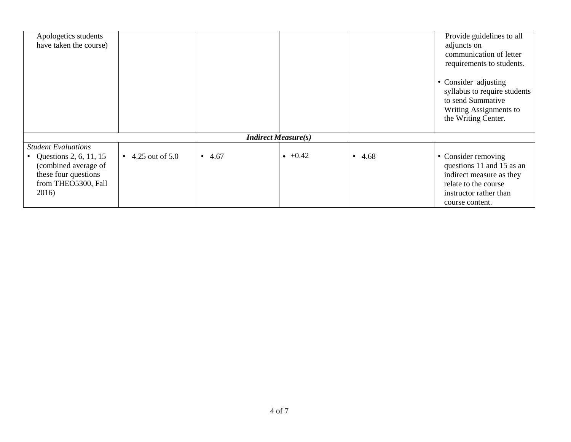| Apologetics students<br>have taken the course)                                                                                         |                 |                |                            |          | Provide guidelines to all<br>adjuncts on<br>communication of letter<br>requirements to students.                                                  |
|----------------------------------------------------------------------------------------------------------------------------------------|-----------------|----------------|----------------------------|----------|---------------------------------------------------------------------------------------------------------------------------------------------------|
|                                                                                                                                        |                 |                |                            |          | • Consider adjusting<br>syllabus to require students<br>to send Summative<br>Writing Assignments to<br>the Writing Center.                        |
|                                                                                                                                        |                 |                | <b>Indirect Measure(s)</b> |          |                                                                                                                                                   |
| <b>Student Evaluations</b><br>• Questions 2, 6, 11, 15<br>(combined average of<br>these four questions<br>from THEO5300, Fall<br>2016) | 4.25 out of 5.0 | $\bullet$ 4.67 | $+0.42$                    | • $4.68$ | • Consider removing<br>questions 11 and 15 as an<br>indirect measure as they<br>relate to the course<br>instructor rather than<br>course content. |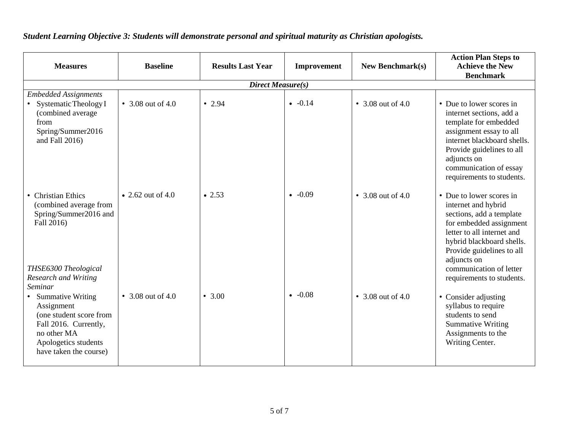| <b>Measures</b>                                                                                                                                                   | <b>Baseline</b>   | <b>Results Last Year</b> | Improvement | <b>New Benchmark(s)</b> | <b>Action Plan Steps to</b><br><b>Achieve the New</b><br><b>Benchmark</b>                                                                                                                                                                                             |  |  |
|-------------------------------------------------------------------------------------------------------------------------------------------------------------------|-------------------|--------------------------|-------------|-------------------------|-----------------------------------------------------------------------------------------------------------------------------------------------------------------------------------------------------------------------------------------------------------------------|--|--|
| <b>Direct Measure(s)</b>                                                                                                                                          |                   |                          |             |                         |                                                                                                                                                                                                                                                                       |  |  |
| <b>Embedded Assignments</b><br>• Systematic Theology I<br>(combined average<br>from<br>Spring/Summer2016<br>and Fall $2016$ )                                     | • 3.08 out of 4.0 | • 2.94                   | $-0.14$     | • 3.08 out of 4.0       | • Due to lower scores in<br>internet sections, add a<br>template for embedded<br>assignment essay to all<br>internet blackboard shells.<br>Provide guidelines to all<br>adjuncts on<br>communication of essay<br>requirements to students.                            |  |  |
| • Christian Ethics<br>(combined average from<br>Spring/Summer2016 and<br>Fall 2016)<br>THSE6300 Theological<br>Research and Writing                               | • 2.62 out of 4.0 | $\bullet$ 2.53           | $-0.09$     | • 3.08 out of 4.0       | • Due to lower scores in<br>internet and hybrid<br>sections, add a template<br>for embedded assignment<br>letter to all internet and<br>hybrid blackboard shells.<br>Provide guidelines to all<br>adjuncts on<br>communication of letter<br>requirements to students. |  |  |
| Seminar<br>• Summative Writing<br>Assignment<br>(one student score from<br>Fall 2016. Currently,<br>no other MA<br>Apologetics students<br>have taken the course) | • 3.08 out of 4.0 | • 3.00                   | $-0.08$     | • 3.08 out of 4.0       | • Consider adjusting<br>syllabus to require<br>students to send<br><b>Summative Writing</b><br>Assignments to the<br>Writing Center.                                                                                                                                  |  |  |

*Student Learning Objective 3: Students will demonstrate personal and spiritual maturity as Christian apologists.*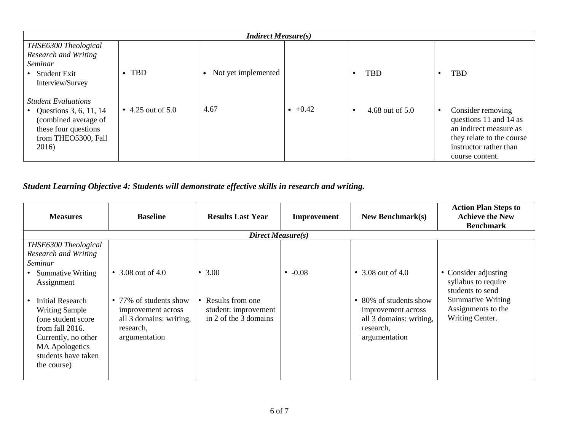| <b>Indirect Measure(s)</b>                                                                                                           |                   |                     |         |                 |                                                                                                                                                 |  |
|--------------------------------------------------------------------------------------------------------------------------------------|-------------------|---------------------|---------|-----------------|-------------------------------------------------------------------------------------------------------------------------------------------------|--|
| THSE6300 Theological                                                                                                                 |                   |                     |         |                 |                                                                                                                                                 |  |
| Research and Writing                                                                                                                 |                   |                     |         |                 |                                                                                                                                                 |  |
| Seminar                                                                                                                              |                   |                     |         |                 |                                                                                                                                                 |  |
| • Student Exit                                                                                                                       | $\bullet$ TBD     | Not yet implemented |         | <b>TBD</b>      | <b>TBD</b>                                                                                                                                      |  |
| Interview/Survey                                                                                                                     |                   |                     |         |                 |                                                                                                                                                 |  |
| <b>Student Evaluations</b><br>Questions 3, 6, 11, 14<br>(combined average of<br>these four questions<br>from THEO5300, Fall<br>2016) | • 4.25 out of 5.0 | 4.67                | $+0.42$ | 4.68 out of 5.0 | Consider removing<br>questions 11 and 14 as<br>an indirect measure as<br>they relate to the course<br>instructor rather than<br>course content. |  |

## *Student Learning Objective 4: Students will demonstrate effective skills in research and writing.*

| <b>Measures</b>                                                                                                                                         | <b>Baseline</b>                                                             | <b>Results Last Year</b>                      | <b>Improvement</b> | New Benchmark $(s)$                                                         | <b>Action Plan Steps to</b><br><b>Achieve the New</b><br><b>Benchmark</b>                   |
|---------------------------------------------------------------------------------------------------------------------------------------------------------|-----------------------------------------------------------------------------|-----------------------------------------------|--------------------|-----------------------------------------------------------------------------|---------------------------------------------------------------------------------------------|
|                                                                                                                                                         |                                                                             | Direct Measure(s)                             |                    |                                                                             |                                                                                             |
| THSE6300 Theological<br><b>Research and Writing</b><br>Seminar<br><b>Summative Writing</b><br>Assignment<br>Initial Research                            | • 3.08 out of 4.0<br>• 77% of students show                                 | • $3.00$<br>Results from one                  | $\cdot$ -0.08      | • 3.08 out of 4.0<br>• 80% of students show                                 | • Consider adjusting<br>syllabus to require<br>students to send<br><b>Summative Writing</b> |
| <b>Writing Sample</b><br>(one student score<br>from fall $2016$ .<br>Currently, no other<br><b>MA</b> Apologetics<br>students have taken<br>the course) | improvement across<br>all 3 domains: writing,<br>research,<br>argumentation | student: improvement<br>in 2 of the 3 domains |                    | improvement across<br>all 3 domains: writing,<br>research,<br>argumentation | Assignments to the<br>Writing Center.                                                       |